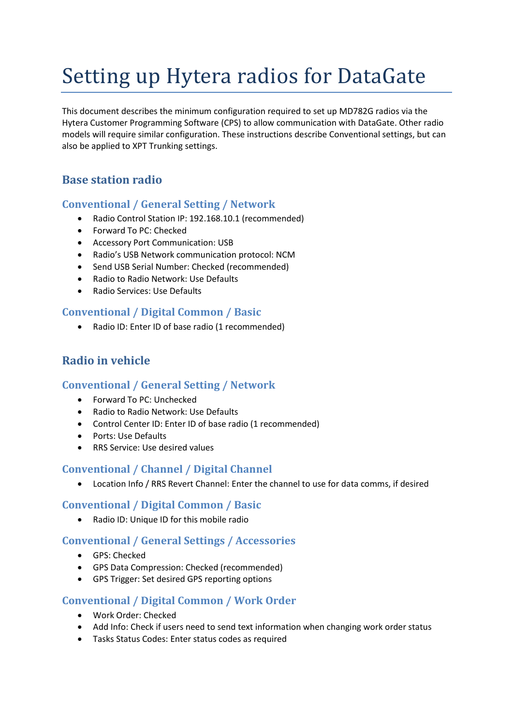# Setting up Hytera radios for DataGate

This document describes the minimum configuration required to set up MD782G radios via the Hytera Customer Programming Software (CPS) to allow communication with DataGate. Other radio models will require similar configuration. These instructions describe Conventional settings, but can also be applied to XPT Trunking settings.

# **Base station radio**

## **Conventional / General Setting / Network**

- Radio Control Station IP: 192.168.10.1 (recommended)
- Forward To PC: Checked
- Accessory Port Communication: USB
- Radio's USB Network communication protocol: NCM
- Send USB Serial Number: Checked (recommended)
- Radio to Radio Network: Use Defaults
- Radio Services: Use Defaults

#### **Conventional / Digital Common / Basic**

Radio ID: Enter ID of base radio (1 recommended)

## **Radio in vehicle**

## **Conventional / General Setting / Network**

- Forward To PC: Unchecked
- Radio to Radio Network: Use Defaults
- Control Center ID: Enter ID of base radio (1 recommended)
- Ports: Use Defaults
- RRS Service: Use desired values

#### **Conventional / Channel / Digital Channel**

Location Info / RRS Revert Channel: Enter the channel to use for data comms, if desired

#### **Conventional / Digital Common / Basic**

Radio ID: Unique ID for this mobile radio

## **Conventional / General Settings / Accessories**

- GPS: Checked
- GPS Data Compression: Checked (recommended)
- GPS Trigger: Set desired GPS reporting options

#### **Conventional / Digital Common / Work Order**

- Work Order: Checked
- Add Info: Check if users need to send text information when changing work order status
- Tasks Status Codes: Enter status codes as required